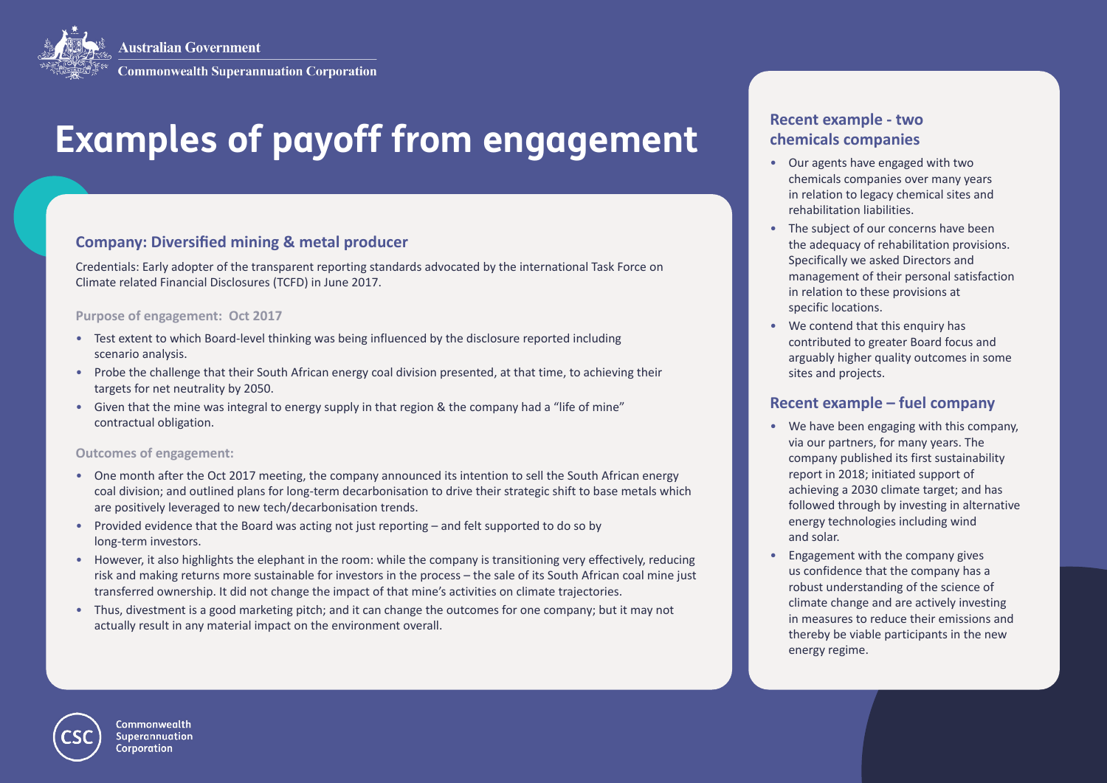

# **Examples of payoff from engagement**

# **Company: Diversified mining & metal producer**

Credentials: Early adopter of the transparent reporting standards advocated by the international Task Force on Climate related Financial Disclosures (TCFD) in June 2017.

### **Purpose of engagement: Oct 2017**

- Test extent to which Board-level thinking was being influenced by the disclosure reported including scenario analysis.
- Probe the challenge that their South African energy coal division presented, at that time, to achieving their targets for net neutrality by 2050.
- Given that the mine was integral to energy supply in that region & the company had a "life of mine" contractual obligation.

#### **Outcomes of engagement:**

- One month after the Oct 2017 meeting, the company announced its intention to sell the South African energy coal division; and outlined plans for long-term decarbonisation to drive their strategic shift to base metals which are positively leveraged to new tech/decarbonisation trends.
- Provided evidence that the Board was acting not just reporting and felt supported to do so by long-term investors.
- However, it also highlights the elephant in the room: while the company is transitioning very effectively, reducing risk and making returns more sustainable for investors in the process – the sale of its South African coal mine just transferred ownership. It did not change the impact of that mine's activities on climate trajectories.
- Thus, divestment is a good marketing pitch; and it can change the outcomes for one company; but it may not actually result in any material impact on the environment overall.

# **Recent example - two chemicals companies**

- Our agents have engaged with two chemicals companies over many years in relation to legacy chemical sites and rehabilitation liabilities.
- The subject of our concerns have been the adequacy of rehabilitation provisions. Specifically we asked Directors and management of their personal satisfaction in relation to these provisions at specific locations.
- We contend that this enquiry has contributed to greater Board focus and arguably higher quality outcomes in some sites and projects.

# **Recent example – fuel company**

- We have been engaging with this company, via our partners, for many years. The company published its first sustainability report in 2018; initiated support of achieving a 2030 climate target; and has followed through by investing in alternative energy technologies including wind and solar.
- Engagement with the company gives us confidence that the company has a robust understanding of the science of climate change and are actively investing in measures to reduce their emissions and thereby be viable participants in the new energy regime.